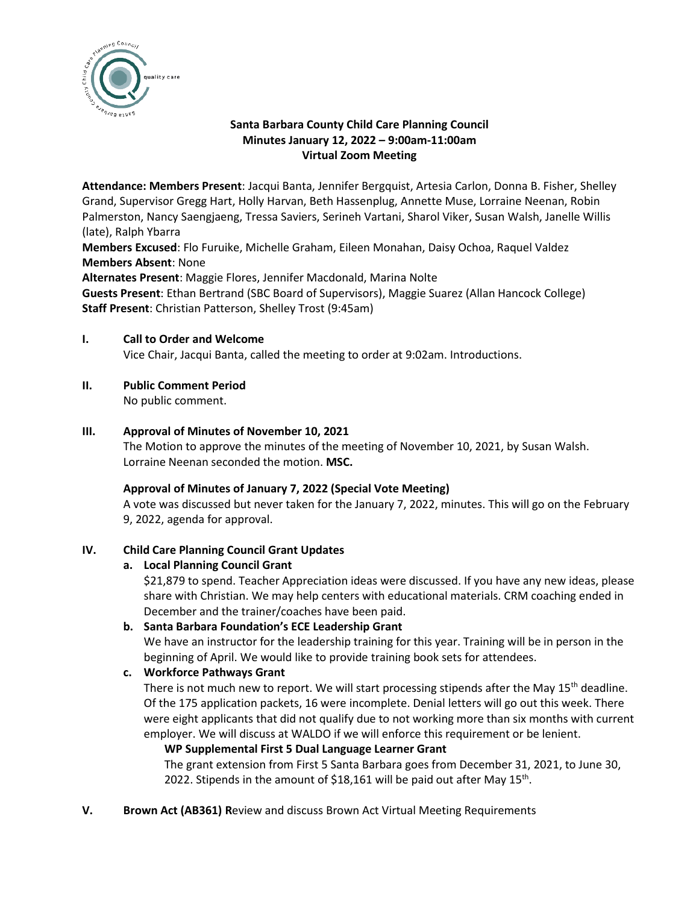

# **Santa Barbara County Child Care Planning Council Minutes January 12, 2022 – 9:00am-11:00am Virtual Zoom Meeting**

**Attendance: Members Present**: Jacqui Banta, Jennifer Bergquist, Artesia Carlon, Donna B. Fisher, Shelley Grand, Supervisor Gregg Hart, Holly Harvan, Beth Hassenplug, Annette Muse, Lorraine Neenan, Robin Palmerston, Nancy Saengjaeng, Tressa Saviers, Serineh Vartani, Sharol Viker, Susan Walsh, Janelle Willis (late), Ralph Ybarra

**Members Excused**: Flo Furuike, Michelle Graham, Eileen Monahan, Daisy Ochoa, Raquel Valdez **Members Absent**: None

**Alternates Present**: Maggie Flores, Jennifer Macdonald, Marina Nolte

**Guests Present**: Ethan Bertrand (SBC Board of Supervisors), Maggie Suarez (Allan Hancock College) **Staff Present**: Christian Patterson, Shelley Trost (9:45am)

## **I. Call to Order and Welcome**

Vice Chair, Jacqui Banta, called the meeting to order at 9:02am. Introductions.

## **II. Public Comment Period**

No public comment.

## **III. Approval of Minutes of November 10, 2021**

The Motion to approve the minutes of the meeting of November 10, 2021, by Susan Walsh. Lorraine Neenan seconded the motion. **MSC.**

### **Approval of Minutes of January 7, 2022 (Special Vote Meeting)**

A vote was discussed but never taken for the January 7, 2022, minutes. This will go on the February 9, 2022, agenda for approval.

### **IV. Child Care Planning Council Grant Updates**

# **a. Local Planning Council Grant**

\$21,879 to spend. Teacher Appreciation ideas were discussed. If you have any new ideas, please share with Christian. We may help centers with educational materials. CRM coaching ended in December and the trainer/coaches have been paid.

### **b. Santa Barbara Foundation's ECE Leadership Grant**

We have an instructor for the leadership training for this year. Training will be in person in the beginning of April. We would like to provide training book sets for attendees.

# **c. Workforce Pathways Grant**

There is not much new to report. We will start processing stipends after the May  $15<sup>th</sup>$  deadline. Of the 175 application packets, 16 were incomplete. Denial letters will go out this week. There were eight applicants that did not qualify due to not working more than six months with current employer. We will discuss at WALDO if we will enforce this requirement or be lenient.

### **WP Supplemental First 5 Dual Language Learner Grant**

The grant extension from First 5 Santa Barbara goes from December 31, 2021, to June 30, 2022. Stipends in the amount of \$18,161 will be paid out after May  $15^{th}$ .

**V. Brown Act (AB361) R**eview and discuss Brown Act Virtual Meeting Requirements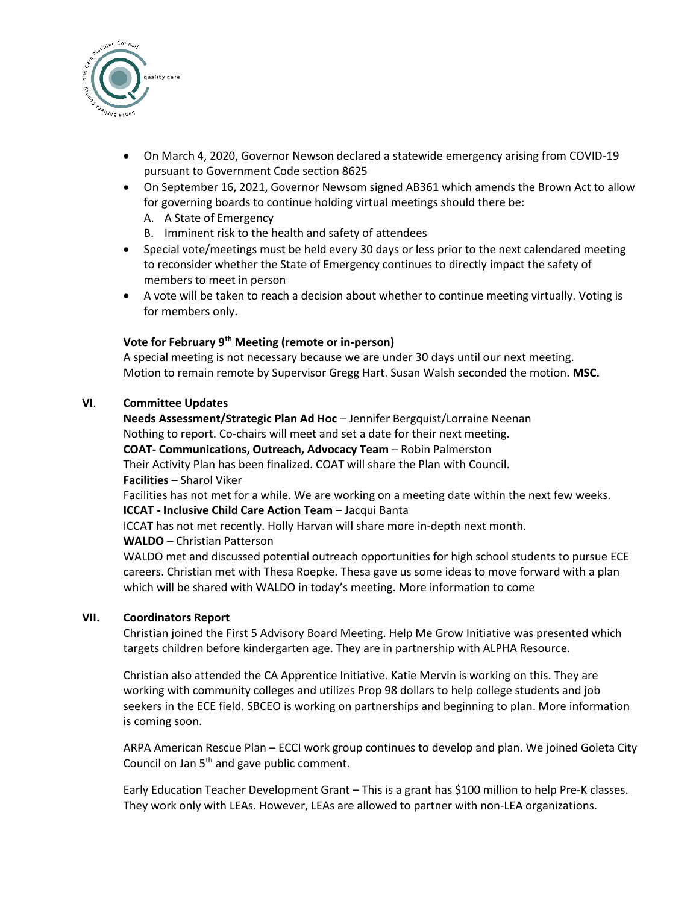

- On March 4, 2020, Governor Newson declared a statewide emergency arising from COVID-19 pursuant to Government Code section 8625
- On September 16, 2021, Governor Newsom signed AB361 which amends the Brown Act to allow for governing boards to continue holding virtual meetings should there be:
	- A. A State of Emergency
	- B. Imminent risk to the health and safety of attendees
- Special vote/meetings must be held every 30 days or less prior to the next calendared meeting to reconsider whether the State of Emergency continues to directly impact the safety of members to meet in person
- A vote will be taken to reach a decision about whether to continue meeting virtually. Voting is for members only.

# **Vote for February 9th Meeting (remote or in-person)**

A special meeting is not necessary because we are under 30 days until our next meeting. Motion to remain remote by Supervisor Gregg Hart. Susan Walsh seconded the motion. **MSC.** 

### **VI**. **Committee Updates**

**Needs Assessment/Strategic Plan Ad Hoc** – Jennifer Bergquist/Lorraine Neenan Nothing to report. Co-chairs will meet and set a date for their next meeting. **COAT- Communications, Outreach, Advocacy Team** – Robin Palmerston Their Activity Plan has been finalized. COAT will share the Plan with Council. **Facilities** – Sharol Viker Facilities has not met for a while. We are working on a meeting date within the next few weeks. **ICCAT - Inclusive Child Care Action Team** – Jacqui Banta ICCAT has not met recently. Holly Harvan will share more in-depth next month. **WALDO** – Christian Patterson WALDO met and discussed potential outreach opportunities for high school students to pursue ECE careers. Christian met with Thesa Roepke. Thesa gave us some ideas to move forward with a plan which will be shared with WALDO in today's meeting. More information to come

### **VII. Coordinators Report**

Christian joined the First 5 Advisory Board Meeting. Help Me Grow Initiative was presented which targets children before kindergarten age. They are in partnership with ALPHA Resource.

Christian also attended the CA Apprentice Initiative. Katie Mervin is working on this. They are working with community colleges and utilizes Prop 98 dollars to help college students and job seekers in the ECE field. SBCEO is working on partnerships and beginning to plan. More information is coming soon.

ARPA American Rescue Plan – ECCI work group continues to develop and plan. We joined Goleta City Council on Jan  $5<sup>th</sup>$  and gave public comment.

Early Education Teacher Development Grant – This is a grant has \$100 million to help Pre-K classes. They work only with LEAs. However, LEAs are allowed to partner with non-LEA organizations.